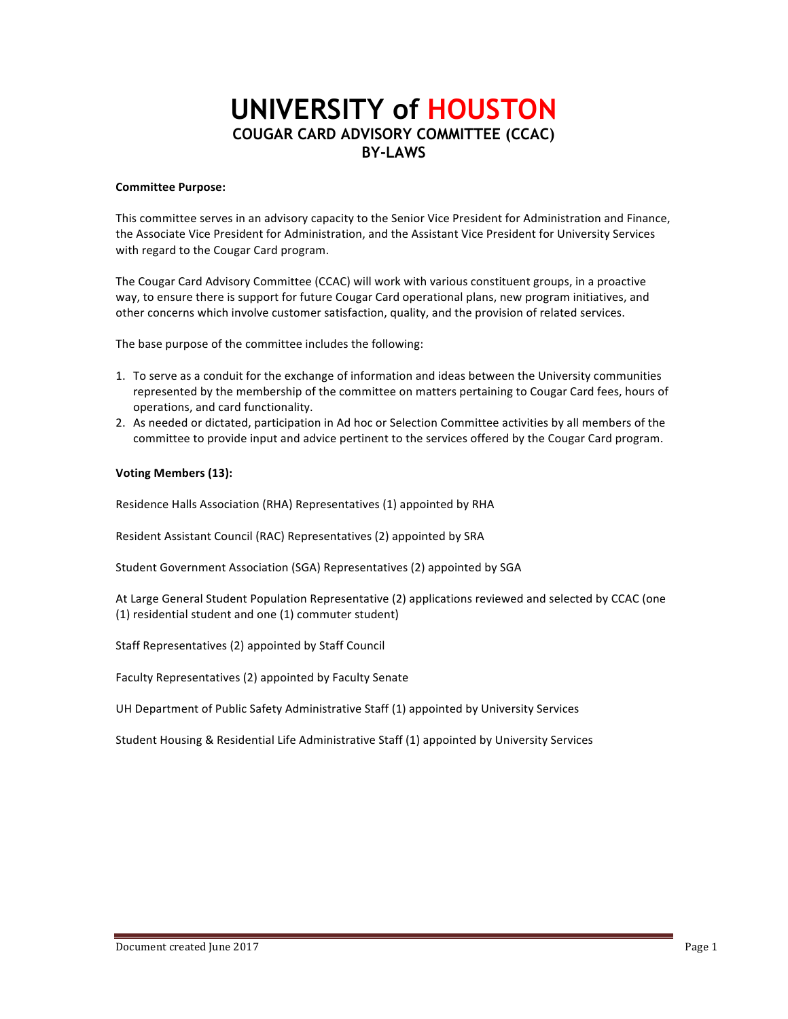# **UNIVERSITY of HOUSTON COUGAR CARD ADVISORY COMMITTEE (CCAC) BY-LAWS**

### **Committee Purpose:**

This committee serves in an advisory capacity to the Senior Vice President for Administration and Finance, the Associate Vice President for Administration, and the Assistant Vice President for University Services with regard to the Cougar Card program.

The Cougar Card Advisory Committee (CCAC) will work with various constituent groups, in a proactive way, to ensure there is support for future Cougar Card operational plans, new program initiatives, and other concerns which involve customer satisfaction, quality, and the provision of related services.

The base purpose of the committee includes the following:

- 1. To serve as a conduit for the exchange of information and ideas between the University communities represented by the membership of the committee on matters pertaining to Cougar Card fees, hours of operations, and card functionality.
- 2. As needed or dictated, participation in Ad hoc or Selection Committee activities by all members of the committee to provide input and advice pertinent to the services offered by the Cougar Card program.

## **Voting Members (13):**

Residence Halls Association (RHA) Representatives (1) appointed by RHA

Resident Assistant Council (RAC) Representatives (2) appointed by SRA

Student Government Association (SGA) Representatives (2) appointed by SGA

At Large General Student Population Representative (2) applications reviewed and selected by CCAC (one (1) residential student and one (1) commuter student)

Staff Representatives (2) appointed by Staff Council

Faculty Representatives (2) appointed by Faculty Senate

UH Department of Public Safety Administrative Staff (1) appointed by University Services

Student Housing & Residential Life Administrative Staff (1) appointed by University Services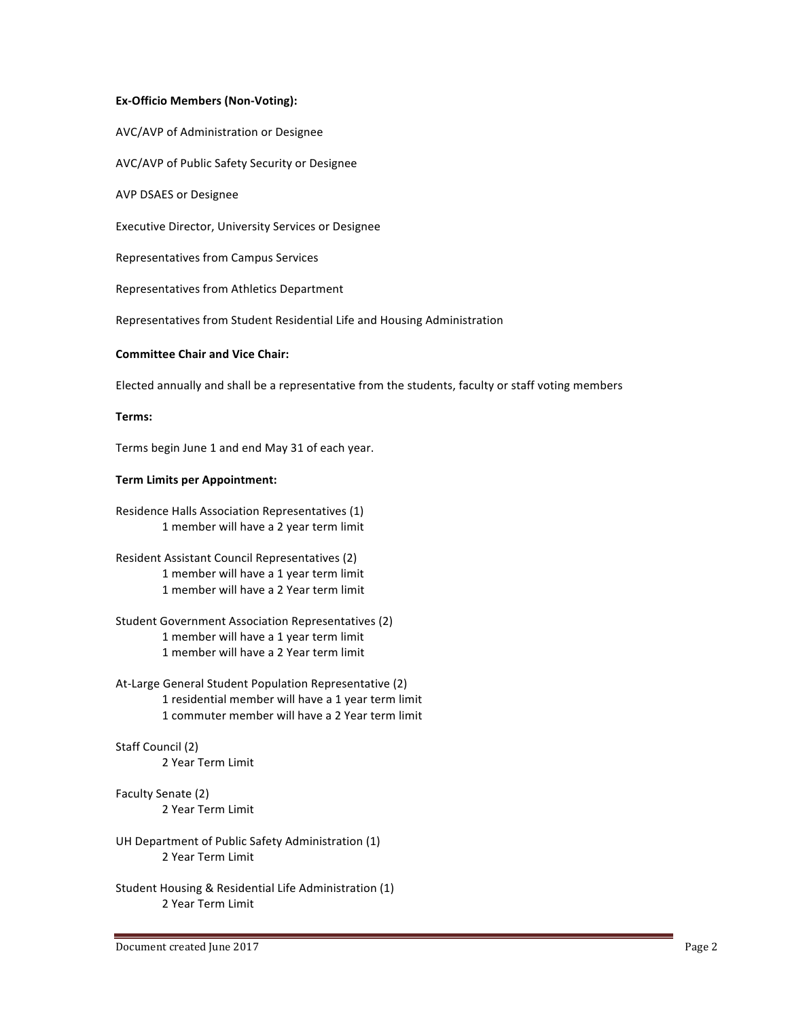## **Ex-Officio Members (Non-Voting):**

AVC/AVP of Administration or Designee

AVC/AVP of Public Safety Security or Designee

**AVP DSAES or Designee** 

Executive Director, University Services or Designee

Representatives from Campus Services

Representatives from Athletics Department

Representatives from Student Residential Life and Housing Administration

## **Committee Chair and Vice Chair:**

Elected annually and shall be a representative from the students, faculty or staff voting members

## **Terms:**

Terms begin June 1 and end May 31 of each year.

#### **Term Limits per Appointment:**

Residence Halls Association Representatives (1) 1 member will have a 2 year term limit

- Resident Assistant Council Representatives (2) 1 member will have a 1 year term limit 1 member will have a 2 Year term limit
- Student Government Association Representatives (2) 1 member will have a 1 year term limit 1 member will have a 2 Year term limit
- At-Large General Student Population Representative (2) 1 residential member will have a 1 year term limit 1 commuter member will have a 2 Year term limit

## Staff Council (2) 2 Year Term Limit

Faculty Senate (2) 2 Year Term Limit

- UH Department of Public Safety Administration (1) 2 Year Term Limit
- Student Housing & Residential Life Administration (1) 2 Year Term Limit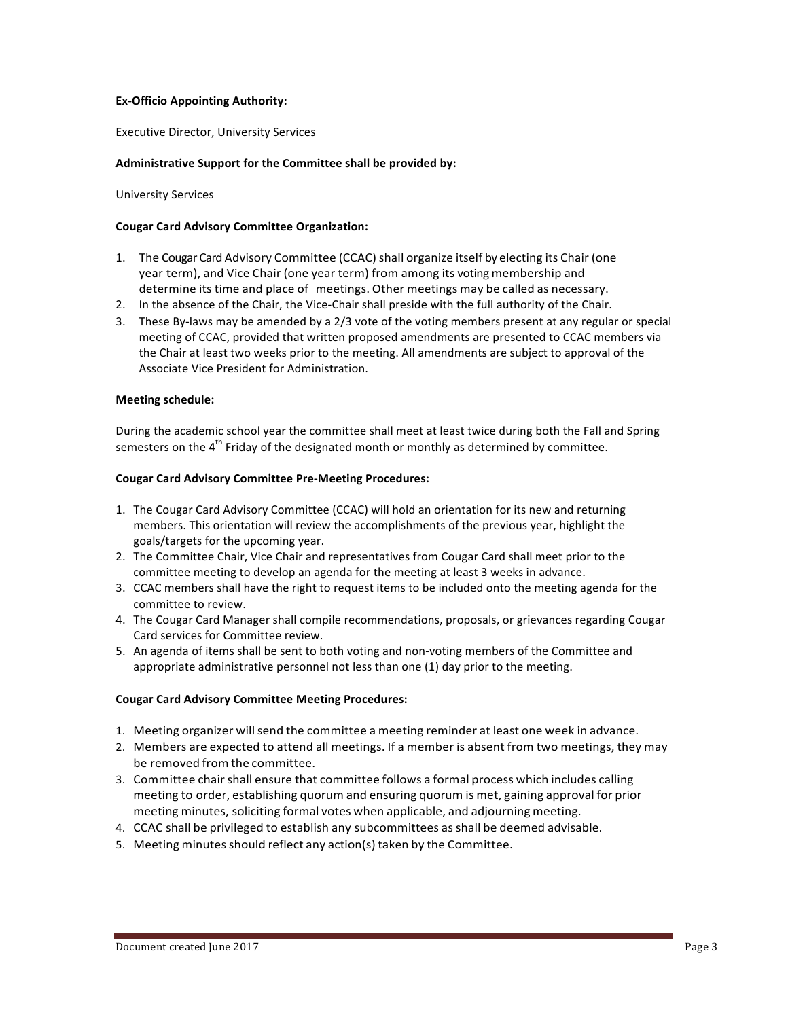## **Ex-Officio Appointing Authority:**

Executive Director, University Services

## Administrative Support for the Committee shall be provided by:

University Services 

### **Cougar Card Advisory Committee Organization:**

- 1. The Cougar Card Advisory Committee (CCAC) shall organize itself by electing its Chair (one year term), and Vice Chair (one year term) from among its voting membership and determine its time and place of meetings. Other meetings may be called as necessary.
- 2. In the absence of the Chair, the Vice-Chair shall preside with the full authority of the Chair.
- 3. These By-laws may be amended by a 2/3 vote of the voting members present at any regular or special meeting of CCAC, provided that written proposed amendments are presented to CCAC members via the Chair at least two weeks prior to the meeting. All amendments are subject to approval of the Associate Vice President for Administration.

## **Meeting schedule:**

During the academic school year the committee shall meet at least twice during both the Fall and Spring semesters on the  $4<sup>th</sup>$  Friday of the designated month or monthly as determined by committee.

#### **Cougar Card Advisory Committee Pre-Meeting Procedures:**

- 1. The Cougar Card Advisory Committee (CCAC) will hold an orientation for its new and returning members. This orientation will review the accomplishments of the previous year, highlight the goals/targets for the upcoming year.
- 2. The Committee Chair, Vice Chair and representatives from Cougar Card shall meet prior to the committee meeting to develop an agenda for the meeting at least 3 weeks in advance.
- 3. CCAC members shall have the right to request items to be included onto the meeting agenda for the committee to review.
- 4. The Cougar Card Manager shall compile recommendations, proposals, or grievances regarding Cougar Card services for Committee review.
- 5. An agenda of items shall be sent to both voting and non-voting members of the Committee and appropriate administrative personnel not less than one  $(1)$  day prior to the meeting.

#### **Cougar Card Advisory Committee Meeting Procedures:**

- 1. Meeting organizer willsend the committee a meeting reminder at least one week in advance.
- 2. Members are expected to attend all meetings. If a member is absent from two meetings, they may be removed from the committee.
- 3. Committee chair shall ensure that committee follows a formal process which includes calling meeting to order, establishing quorum and ensuring quorum is met, gaining approval for prior meeting minutes, soliciting formal votes when applicable, and adjourning meeting.
- 4. CCAC shall be privileged to establish any subcommittees as shall be deemed advisable.
- 5. Meeting minutes should reflect any action(s) taken by the Committee.